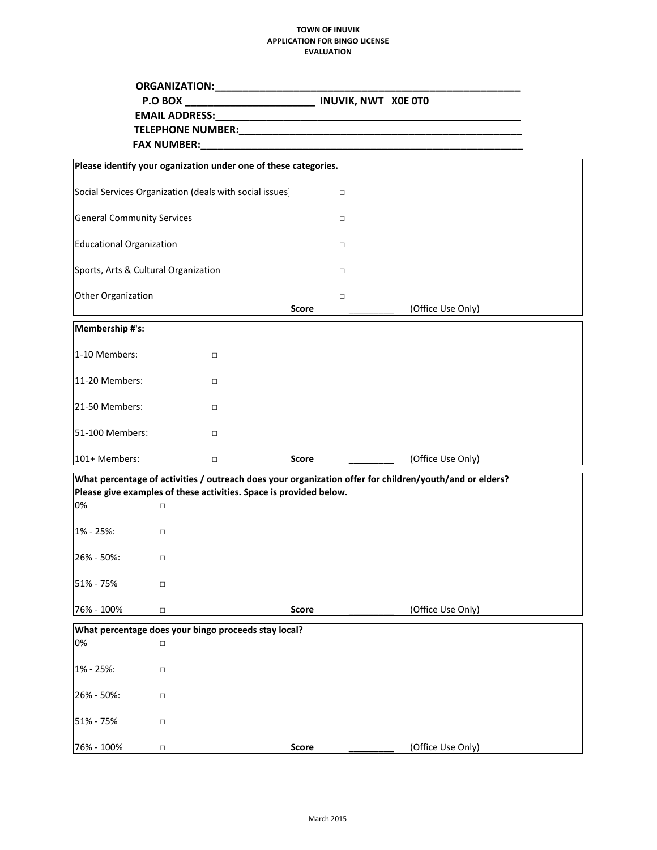## **TOWN OF INUVIK APPLICATION FOR BINGO LICENSE EVALUATION**

|                                                                 | P.O BOX _____________________________ INUVIK, NWT X0E 0T0                                                                                                                                                                      |              |                   |  |  |
|-----------------------------------------------------------------|--------------------------------------------------------------------------------------------------------------------------------------------------------------------------------------------------------------------------------|--------------|-------------------|--|--|
|                                                                 |                                                                                                                                                                                                                                |              |                   |  |  |
|                                                                 | FAX NUMBER: The contract of the contract of the contract of the contract of the contract of the contract of the contract of the contract of the contract of the contract of the contract of the contract of the contract of th |              |                   |  |  |
|                                                                 |                                                                                                                                                                                                                                |              |                   |  |  |
| Please identify your oganization under one of these categories. |                                                                                                                                                                                                                                |              |                   |  |  |
| Social Services Organization (deals with social issues)         |                                                                                                                                                                                                                                | $\Box$       |                   |  |  |
| <b>General Community Services</b>                               |                                                                                                                                                                                                                                | $\Box$       |                   |  |  |
| <b>Educational Organization</b>                                 |                                                                                                                                                                                                                                | $\Box$       |                   |  |  |
|                                                                 | Sports, Arts & Cultural Organization                                                                                                                                                                                           | $\Box$       |                   |  |  |
| Other Organization                                              |                                                                                                                                                                                                                                | $\Box$       |                   |  |  |
|                                                                 |                                                                                                                                                                                                                                | Score        | (Office Use Only) |  |  |
| Membership #'s:                                                 |                                                                                                                                                                                                                                |              |                   |  |  |
| 1-10 Members:                                                   | $\Box$                                                                                                                                                                                                                         |              |                   |  |  |
| 11-20 Members:                                                  | $\Box$                                                                                                                                                                                                                         |              |                   |  |  |
| 21-50 Members:                                                  | $\Box$                                                                                                                                                                                                                         |              |                   |  |  |
| 51-100 Members:                                                 | $\Box$                                                                                                                                                                                                                         |              |                   |  |  |
| 101+ Members:                                                   | $\Box$                                                                                                                                                                                                                         | Score        | (Office Use Only) |  |  |
|                                                                 | What percentage of activities / outreach does your organization offer for children/youth/and or elders?                                                                                                                        |              |                   |  |  |
| 0%                                                              | Please give examples of these activities. Space is provided below.<br>$\Box$                                                                                                                                                   |              |                   |  |  |
|                                                                 |                                                                                                                                                                                                                                |              |                   |  |  |
| 1% - 25%:                                                       | $\Box$                                                                                                                                                                                                                         |              |                   |  |  |
| 26% - 50%:                                                      | $\Box$                                                                                                                                                                                                                         |              |                   |  |  |
| 51% - 75%                                                       | $\Box$                                                                                                                                                                                                                         |              |                   |  |  |
| 76% - 100%                                                      | $\Box$                                                                                                                                                                                                                         | <b>Score</b> | (Office Use Only) |  |  |
|                                                                 | What percentage does your bingo proceeds stay local?                                                                                                                                                                           |              |                   |  |  |
| 0%                                                              | $\Box$                                                                                                                                                                                                                         |              |                   |  |  |
| 1% - 25%:                                                       | $\Box$                                                                                                                                                                                                                         |              |                   |  |  |
| 26% - 50%:                                                      | $\Box$                                                                                                                                                                                                                         |              |                   |  |  |
| 51% - 75%                                                       | $\Box$                                                                                                                                                                                                                         |              |                   |  |  |
| 76% - 100%                                                      | $\Box$                                                                                                                                                                                                                         | Score        | (Office Use Only) |  |  |